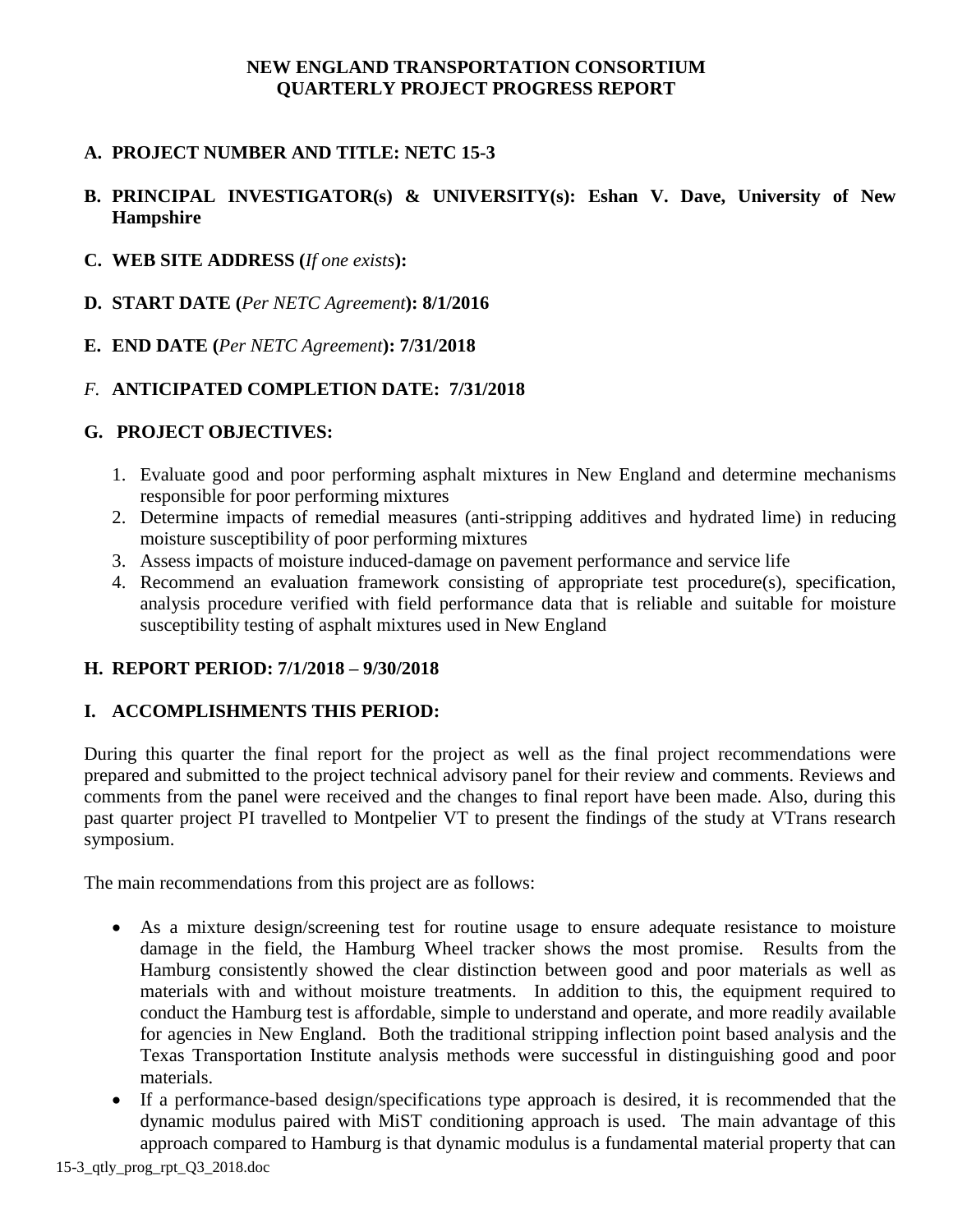### **NEW ENGLAND TRANSPORTATION CONSORTIUM QUARTERLY PROJECT PROGRESS REPORT**

# **A. PROJECT NUMBER AND TITLE: NETC 15-3**

## **B. PRINCIPAL INVESTIGATOR(s) & UNIVERSITY(s): Eshan V. Dave, University of New Hampshire**

- **C. WEB SITE ADDRESS (***If one exists***):**
- **D. START DATE (***Per NETC Agreement***): 8/1/2016**
- **E. END DATE (***Per NETC Agreement***): 7/31/2018**

### *F.* **ANTICIPATED COMPLETION DATE: 7/31/2018**

### **G. PROJECT OBJECTIVES:**

- 1. Evaluate good and poor performing asphalt mixtures in New England and determine mechanisms responsible for poor performing mixtures
- 2. Determine impacts of remedial measures (anti-stripping additives and hydrated lime) in reducing moisture susceptibility of poor performing mixtures
- 3. Assess impacts of moisture induced-damage on pavement performance and service life
- 4. Recommend an evaluation framework consisting of appropriate test procedure(s), specification, analysis procedure verified with field performance data that is reliable and suitable for moisture susceptibility testing of asphalt mixtures used in New England

### **H. REPORT PERIOD: 7/1/2018 – 9/30/2018**

### **I. ACCOMPLISHMENTS THIS PERIOD:**

During this quarter the final report for the project as well as the final project recommendations were prepared and submitted to the project technical advisory panel for their review and comments. Reviews and comments from the panel were received and the changes to final report have been made. Also, during this past quarter project PI travelled to Montpelier VT to present the findings of the study at VTrans research symposium.

The main recommendations from this project are as follows:

- As a mixture design/screening test for routine usage to ensure adequate resistance to moisture damage in the field, the Hamburg Wheel tracker shows the most promise. Results from the Hamburg consistently showed the clear distinction between good and poor materials as well as materials with and without moisture treatments. In addition to this, the equipment required to conduct the Hamburg test is affordable, simple to understand and operate, and more readily available for agencies in New England. Both the traditional stripping inflection point based analysis and the Texas Transportation Institute analysis methods were successful in distinguishing good and poor materials.
- If a performance-based design/specifications type approach is desired, it is recommended that the dynamic modulus paired with MiST conditioning approach is used. The main advantage of this approach compared to Hamburg is that dynamic modulus is a fundamental material property that can